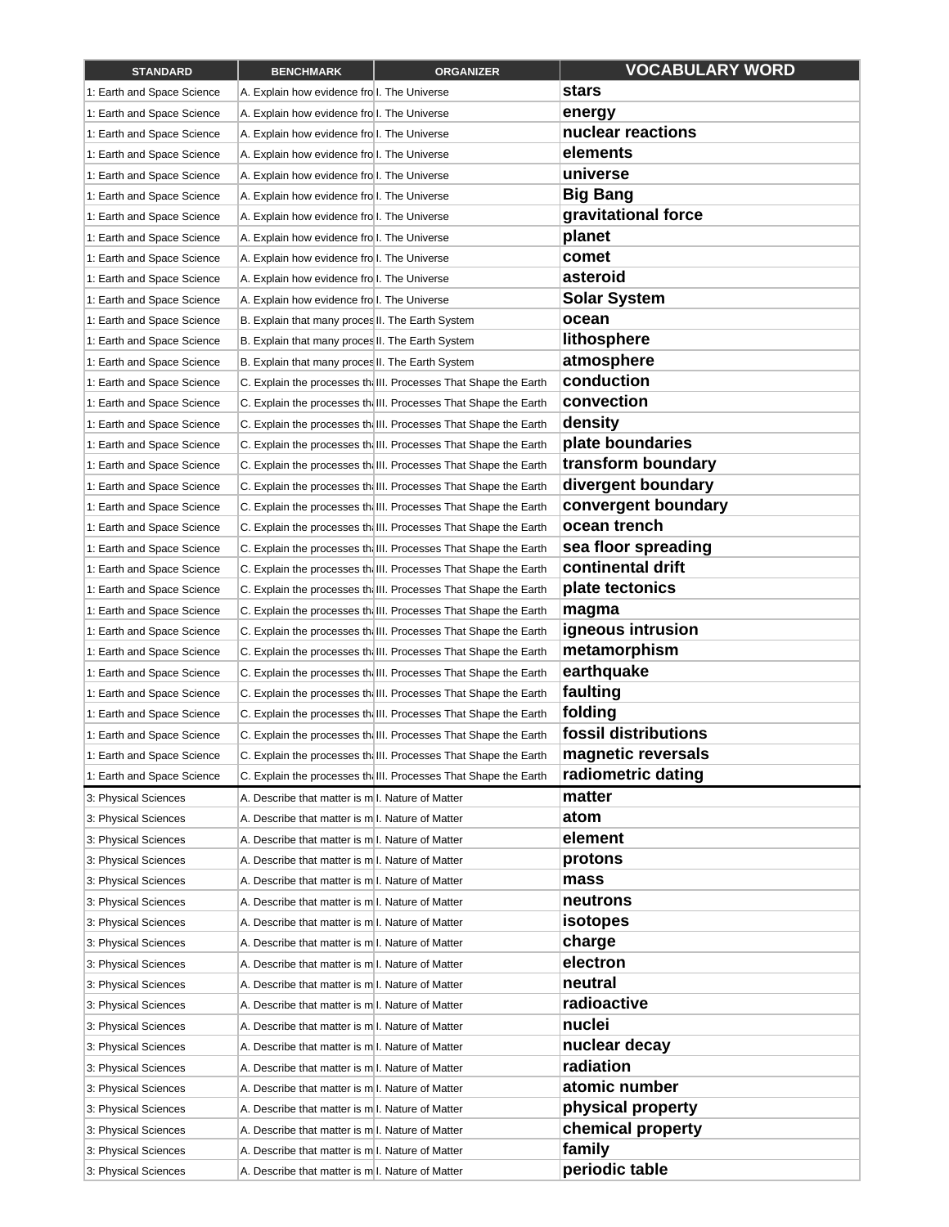| <b>STANDARD</b>            | <b>BENCHMARK</b>                                  | <b>ORGANIZER</b>                                                 | <b>VOCABULARY WORD</b> |
|----------------------------|---------------------------------------------------|------------------------------------------------------------------|------------------------|
| 1: Earth and Space Science | A. Explain how evidence fro I. The Universe       |                                                                  | stars                  |
| 1: Earth and Space Science | A. Explain how evidence fro I. The Universe       |                                                                  | energy                 |
| 1: Earth and Space Science | A. Explain how evidence fro I. The Universe       |                                                                  | nuclear reactions      |
| 1: Earth and Space Science | A. Explain how evidence fro I. The Universe       |                                                                  | elements               |
| 1: Earth and Space Science | A. Explain how evidence fro I. The Universe       |                                                                  | universe               |
| 1: Earth and Space Science | A. Explain how evidence fro I. The Universe       |                                                                  | <b>Big Bang</b>        |
| 1: Earth and Space Science | A. Explain how evidence fro I. The Universe       |                                                                  | gravitational force    |
| 1: Earth and Space Science | A. Explain how evidence fro I. The Universe       |                                                                  | planet                 |
| 1: Earth and Space Science | A. Explain how evidence fro I. The Universe       |                                                                  | comet                  |
| 1: Earth and Space Science | A. Explain how evidence fro I. The Universe       |                                                                  | asteroid               |
| 1: Earth and Space Science | A. Explain how evidence fro I. The Universe       |                                                                  | <b>Solar System</b>    |
| 1: Earth and Space Science | B. Explain that many proces II. The Earth System  |                                                                  | ocean                  |
| 1: Earth and Space Science | B. Explain that many proces II. The Earth System  |                                                                  | lithosphere            |
| 1: Earth and Space Science | B. Explain that many proces II. The Earth System  |                                                                  | atmosphere             |
| 1: Earth and Space Science |                                                   | C. Explain the processes the III. Processes That Shape the Earth | conduction             |
| 1: Earth and Space Science |                                                   | C. Explain the processes the III. Processes That Shape the Earth | convection             |
| 1: Earth and Space Science |                                                   | C. Explain the processes the III. Processes That Shape the Earth | density                |
| 1: Earth and Space Science |                                                   | C. Explain the processes the III. Processes That Shape the Earth | plate boundaries       |
| 1: Earth and Space Science |                                                   | C. Explain the processes the III. Processes That Shape the Earth | transform boundary     |
| 1: Earth and Space Science |                                                   | C. Explain the processes the III. Processes That Shape the Earth | divergent boundary     |
| 1: Earth and Space Science |                                                   | C. Explain the processes the III. Processes That Shape the Earth | convergent boundary    |
| 1: Earth and Space Science |                                                   | C. Explain the processes the III. Processes That Shape the Earth | ocean trench           |
| 1: Earth and Space Science |                                                   | C. Explain the processes the III. Processes That Shape the Earth | sea floor spreading    |
| 1: Earth and Space Science |                                                   | C. Explain the processes the III. Processes That Shape the Earth | continental drift      |
| 1: Earth and Space Science |                                                   | C. Explain the processes the III. Processes That Shape the Earth | plate tectonics        |
| 1: Earth and Space Science |                                                   | C. Explain the processes the III. Processes That Shape the Earth | magma                  |
| 1: Earth and Space Science |                                                   | C. Explain the processes the III. Processes That Shape the Earth | igneous intrusion      |
| 1: Earth and Space Science |                                                   | C. Explain the processes the III. Processes That Shape the Earth | metamorphism           |
| 1: Earth and Space Science |                                                   | C. Explain the processes the III. Processes That Shape the Earth | earthquake             |
| 1: Earth and Space Science |                                                   | C. Explain the processes the III. Processes That Shape the Earth | faulting               |
| 1: Earth and Space Science |                                                   | C. Explain the processes the III. Processes That Shape the Earth | folding                |
| 1: Earth and Space Science |                                                   | C. Explain the processes the III. Processes That Shape the Earth | fossil distributions   |
| 1: Earth and Space Science |                                                   | C. Explain the processes the III. Processes That Shape the Earth | magnetic reversals     |
| 1: Earth and Space Science |                                                   | C. Explain the processes the III. Processes That Shape the Earth | radiometric dating     |
| 3: Physical Sciences       | A. Describe that matter is m.l. Nature of Matter  |                                                                  | matter                 |
| 3: Physical Sciences       | A. Describe that matter is m.l. Nature of Matter  |                                                                  | atom                   |
| 3: Physical Sciences       | A. Describe that matter is m I. Nature of Matter  |                                                                  | element                |
| 3: Physical Sciences       | A. Describe that matter is m.l. Nature of Matter  |                                                                  | protons                |
| 3: Physical Sciences       | A. Describe that matter is m. I. Nature of Matter |                                                                  | mass                   |
| 3: Physical Sciences       | A. Describe that matter is m I. Nature of Matter  |                                                                  | neutrons               |
| 3: Physical Sciences       | A. Describe that matter is m. I. Nature of Matter |                                                                  | <i>isotopes</i>        |
| 3: Physical Sciences       | A. Describe that matter is m I. Nature of Matter  |                                                                  | charge                 |
| 3: Physical Sciences       | A. Describe that matter is m. I. Nature of Matter |                                                                  | electron               |
| 3: Physical Sciences       | A. Describe that matter is m.l. Nature of Matter  |                                                                  | neutral                |
| 3: Physical Sciences       | A. Describe that matter is m.l. Nature of Matter  |                                                                  | radioactive            |
| 3: Physical Sciences       | A. Describe that matter is m.l. Nature of Matter  |                                                                  | nuclei                 |
| 3: Physical Sciences       | A. Describe that matter is m.l. Nature of Matter  |                                                                  | nuclear decay          |
| 3: Physical Sciences       | A. Describe that matter is m.l. Nature of Matter  |                                                                  | radiation              |
| 3: Physical Sciences       | A. Describe that matter is m.l. Nature of Matter  |                                                                  | atomic number          |
| 3: Physical Sciences       | A. Describe that matter is m. I. Nature of Matter |                                                                  | physical property      |
| 3: Physical Sciences       | A. Describe that matter is m.l. Nature of Matter  |                                                                  | chemical property      |
| 3: Physical Sciences       | A. Describe that matter is m. I. Nature of Matter |                                                                  | family                 |
| 3: Physical Sciences       | A. Describe that matter is m. I. Nature of Matter |                                                                  | periodic table         |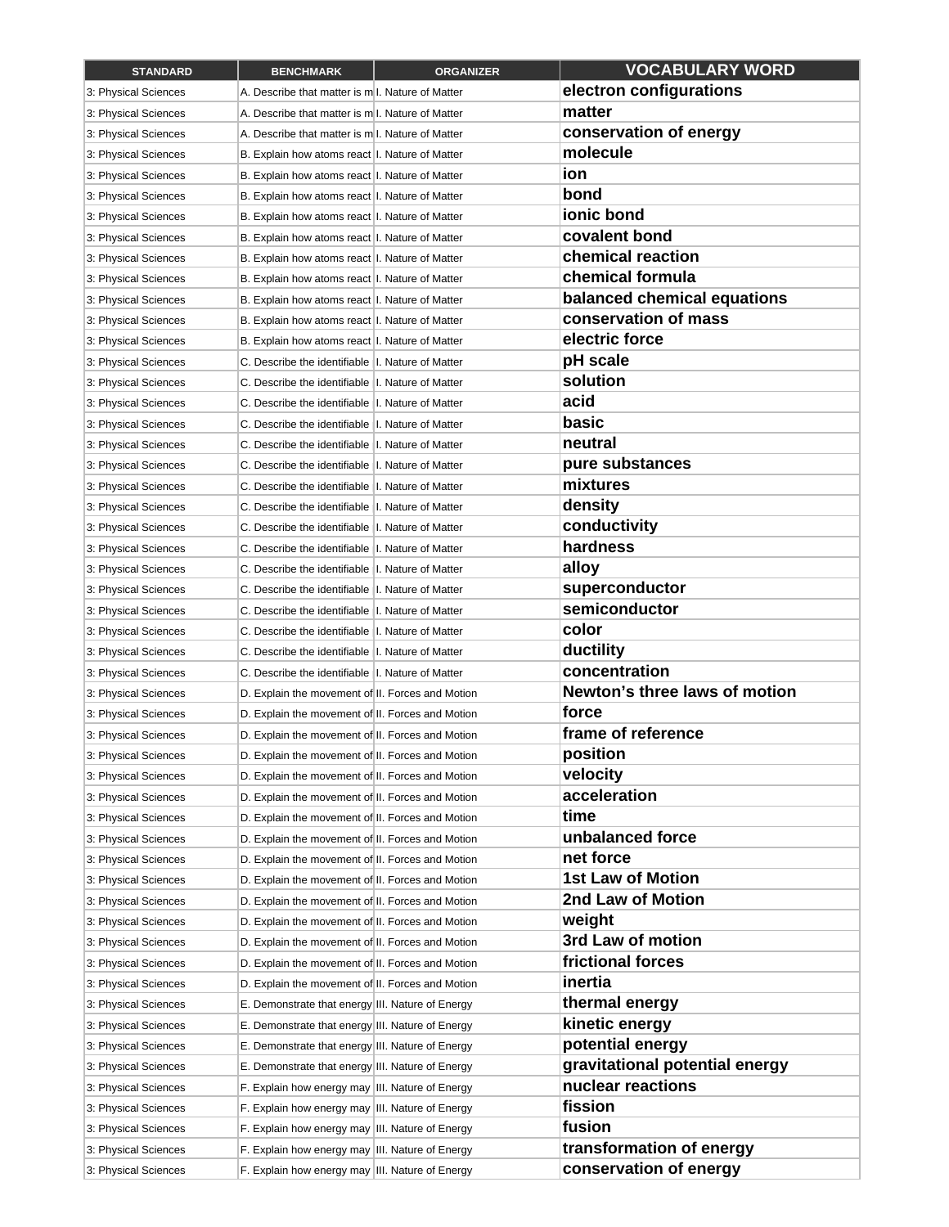| <b>STANDARD</b>      | <b>BENCHMARK</b>                                                                                     | <b>ORGANIZER</b> | <b>VOCABULARY WORD</b>         |
|----------------------|------------------------------------------------------------------------------------------------------|------------------|--------------------------------|
| 3: Physical Sciences | A. Describe that matter is m.l. Nature of Matter                                                     |                  | electron configurations        |
| 3: Physical Sciences | A. Describe that matter is m.l. Nature of Matter                                                     |                  | matter                         |
| 3: Physical Sciences | A. Describe that matter is m.l. Nature of Matter                                                     |                  | conservation of energy         |
| 3: Physical Sciences | B. Explain how atoms react I. Nature of Matter                                                       |                  | molecule                       |
| 3: Physical Sciences | B. Explain how atoms react I. Nature of Matter                                                       |                  | ion                            |
| 3: Physical Sciences | B. Explain how atoms react I. Nature of Matter                                                       |                  | bond                           |
| 3: Physical Sciences | B. Explain how atoms react I. Nature of Matter                                                       |                  | ionic bond                     |
| 3: Physical Sciences | B. Explain how atoms react I. Nature of Matter                                                       |                  | covalent bond                  |
| 3: Physical Sciences | B. Explain how atoms react I. Nature of Matter                                                       |                  | chemical reaction              |
| 3: Physical Sciences | B. Explain how atoms react I. Nature of Matter                                                       |                  | chemical formula               |
| 3: Physical Sciences | B. Explain how atoms react I. Nature of Matter                                                       |                  | balanced chemical equations    |
| 3: Physical Sciences | B. Explain how atoms react I. Nature of Matter                                                       |                  | conservation of mass           |
| 3: Physical Sciences | B. Explain how atoms react I. Nature of Matter                                                       |                  | electric force                 |
| 3: Physical Sciences | C. Describe the identifiable II. Nature of Matter                                                    |                  | pH scale                       |
| 3: Physical Sciences | C. Describe the identifiable   I. Nature of Matter                                                   |                  | solution                       |
| 3: Physical Sciences | C. Describe the identifiable   I. Nature of Matter                                                   |                  | acid                           |
| 3: Physical Sciences | C. Describe the identifiable   I. Nature of Matter                                                   |                  | basic                          |
| 3: Physical Sciences | C. Describe the identifiable   I. Nature of Matter                                                   |                  | neutral                        |
| 3: Physical Sciences | C. Describe the identifiable   I. Nature of Matter                                                   |                  | pure substances                |
| 3: Physical Sciences | C. Describe the identifiable   I. Nature of Matter                                                   |                  | mixtures                       |
| 3: Physical Sciences | C. Describe the identifiable   I. Nature of Matter                                                   |                  | density                        |
| 3: Physical Sciences | C. Describe the identifiable   I. Nature of Matter                                                   |                  | conductivity                   |
| 3: Physical Sciences | C. Describe the identifiable   I. Nature of Matter                                                   |                  | hardness                       |
| 3: Physical Sciences | C. Describe the identifiable   I. Nature of Matter                                                   |                  | alloy                          |
| 3: Physical Sciences | C. Describe the identifiable   I. Nature of Matter                                                   |                  | superconductor                 |
| 3: Physical Sciences | C. Describe the identifiable II. Nature of Matter                                                    |                  | semiconductor                  |
| 3: Physical Sciences | C. Describe the identifiable  I. Nature of Matter                                                    |                  | color                          |
| 3: Physical Sciences | C. Describe the identifiable   I. Nature of Matter                                                   |                  | ductility                      |
| 3: Physical Sciences | C. Describe the identifiable   I. Nature of Matter                                                   |                  | concentration                  |
| 3: Physical Sciences | D. Explain the movement of II. Forces and Motion                                                     |                  | Newton's three laws of motion  |
| 3: Physical Sciences | D. Explain the movement of II. Forces and Motion                                                     |                  | force                          |
| 3: Physical Sciences | D. Explain the movement of II. Forces and Motion                                                     |                  | frame of reference             |
| 3: Physical Sciences | D. Explain the movement of II. Forces and Motion                                                     |                  | position                       |
| 3: Physical Sciences | D. Explain the movement of II. Forces and Motion                                                     |                  | velocity                       |
| 3: Physical Sciences | D. Explain the movement of II. Forces and Motion                                                     |                  | acceleration                   |
| 3: Physical Sciences | D. Explain the movement of II. Forces and Motion                                                     |                  | time                           |
| 3: Physical Sciences | D. Explain the movement of II. Forces and Motion                                                     |                  | unbalanced force               |
| 3: Physical Sciences | D. Explain the movement of II. Forces and Motion                                                     |                  | net force                      |
| 3: Physical Sciences | D. Explain the movement of II. Forces and Motion                                                     |                  | <b>1st Law of Motion</b>       |
| 3: Physical Sciences | D. Explain the movement of II. Forces and Motion                                                     |                  | 2nd Law of Motion              |
| 3: Physical Sciences | D. Explain the movement of II. Forces and Motion                                                     |                  | weight                         |
| 3: Physical Sciences | D. Explain the movement of II. Forces and Motion                                                     |                  | 3rd Law of motion              |
| 3: Physical Sciences | D. Explain the movement of II. Forces and Motion                                                     |                  | frictional forces              |
| 3: Physical Sciences | D. Explain the movement of II. Forces and Motion                                                     |                  | inertia                        |
| 3: Physical Sciences | E. Demonstrate that energy III. Nature of Energy                                                     |                  | thermal energy                 |
| 3: Physical Sciences | E. Demonstrate that energy III. Nature of Energy                                                     |                  | kinetic energy                 |
| 3: Physical Sciences |                                                                                                      |                  | potential energy               |
| 3: Physical Sciences | E. Demonstrate that energy III. Nature of Energy<br>E. Demonstrate that energy III. Nature of Energy |                  | gravitational potential energy |
| 3: Physical Sciences | F. Explain how energy may III. Nature of Energy                                                      |                  | nuclear reactions              |
| 3: Physical Sciences | F. Explain how energy may III. Nature of Energy                                                      |                  | fission                        |
| 3: Physical Sciences | F. Explain how energy may III. Nature of Energy                                                      |                  | fusion                         |
| 3: Physical Sciences | F. Explain how energy may III. Nature of Energy                                                      |                  | transformation of energy       |
| 3: Physical Sciences | F. Explain how energy may III. Nature of Energy                                                      |                  | conservation of energy         |
|                      |                                                                                                      |                  |                                |